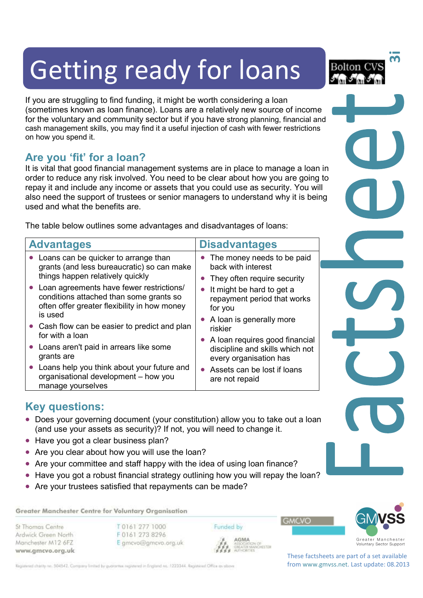# Getting ready for loans

If you are struggling to find funding, it might be worth considering a loan (sometimes known as loan finance). Loans are a relatively new source of income for the voluntary and community sector but if you have strong planning, financial and cash management skills, you may find it a useful injection of cash with fewer restrictions on how you spend it.

## **Are you 'fit' for a loan?**

It is vital that good financial management systems are in place to manage a loan in order to reduce any risk involved. You need to be clear about how you are going to repay it and include any income or assets that you could use as security. You will also need the support of trustees or senior managers to understand why it is being used and what the benefits are.

The table below outlines some advantages and disadvantages of loans:

| <b>Advantages</b>                                                                                                                     | <b>Disadvantages</b>                                                                          |  |
|---------------------------------------------------------------------------------------------------------------------------------------|-----------------------------------------------------------------------------------------------|--|
| • Loans can be quicker to arrange than<br>grants (and less bureaucratic) so can make                                                  | • The money needs to be paid<br>back with interest                                            |  |
| things happen relatively quickly                                                                                                      | • They often require security                                                                 |  |
| • Loan agreements have fewer restrictions/<br>conditions attached than some grants so<br>often offer greater flexibility in how money | It might be hard to get a<br>repayment period that works<br>for you                           |  |
| is used<br>• Cash flow can be easier to predict and plan<br>for with a loan                                                           | • A loan is generally more<br>riskier                                                         |  |
| • Loans aren't paid in arrears like some<br>grants are                                                                                | • A loan requires good financial<br>discipline and skills which not<br>every organisation has |  |
| Loans help you think about your future and<br>organisational development - how you                                                    | • Assets can be lost if loans<br>are not repaid                                               |  |

# **Key questions:**

manage yourselves

- Does your governing document (your constitution) allow you to take out a loan (and use your assets as security)? If not, you will need to change it.
- Have you got a clear business plan?
- Are you clear about how you will use the loan?
- Are your committee and staff happy with the idea of using loan finance?
- Have you got a robust financial strategy outlining how you will repay the loan?
- Are your trustees satisfied that repayments can be made?

Greater Manchester Centre for Voluntary Organisation

St Thomas Centre Ardwick Green North Manchester M12 6FZ www.gmcvo.org.uk

T 0161 277 1000 F0161 273 8296 E gmcvo@gmcvo.org.uk Funded by





**3i**

**AGMA GREATER MANCHESTER** 



Registered charity no. 504542. Company limited by guarantee registered in England no. 1223344. Registered Office as obove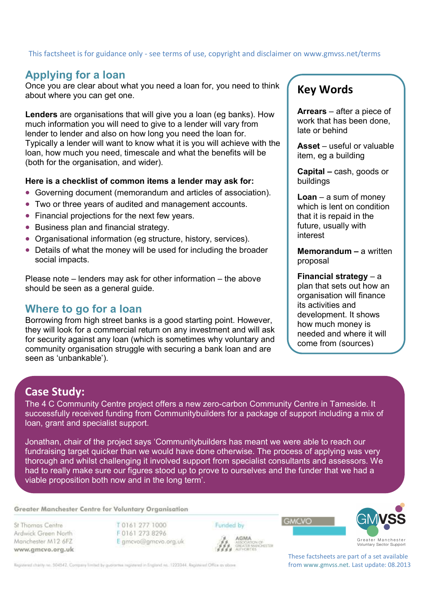# This factsheet is for guidance only - see terms of use, copyright and disclaimer on www.gmvss.net/terms

## **Applying for a loan**

Once you are clear about what you need a loan for, you need to think about where you can get one.

**Lenders** are organisations that will give you a loan (eg banks). How much information you will need to give to a lender will vary from lender to lender and also on how long you need the loan for. Typically a lender will want to know what it is you will achieve with the loan, how much you need, timescale and what the benefits will be (both for the organisation, and wider).

#### **Here is a checklist of common items a lender may ask for:**

- Governing document (memorandum and articles of association).
- Two or three years of audited and management accounts.
- Financial projections for the next few years.
- Business plan and financial strategy.
- Organisational information (eg structure, history, services).
- Details of what the money will be used for including the broader social impacts.

Please note – lenders may ask for other information – the above should be seen as a general guide.

#### **Where to go for a loan**

Borrowing from high street banks is a good starting point. However, they will look for a commercial return on any investment and will ask for security against any loan (which is sometimes why voluntary and community organisation struggle with securing a bank loan and are seen as 'unbankable').

## **Key Words**

**Arrears** – after a piece of work that has been done, late or behind

**Asset** – useful or valuable item, eg a building

**Capital –** cash, goods or buildings

**Loan** – a sum of money which is lent on condition that it is repaid in the future, usually with interest

**Memorandum – a written** proposal

**Financial strategy** – a plan that sets out how an organisation will finance its activities and development. It shows how much money is needed and where it will come from (sources)

## **Case Study:**

The 4 C Community Centre project offers a new zero-carbon Community Centre in Tameside. It successfully received funding from Communitybuilders for a package of support including a mix of loan, grant and specialist support.

Jonathan, chair of the project says 'Communitybuilders has meant we were able to reach our fundraising target quicker than we would have done otherwise. The process of applying was very thorough and whilst challenging it involved support from specialist consultants and assessors. We had to really make sure our figures stood up to prove to ourselves and the funder that we had a viable proposition both now and in the long term'.

#### Greater Manchester Centre for Voluntary Organisation

St Thomas Centre Ardwick Green North Manchester M12 6FZ www.gmcvo.org.uk

T 0161 277 1000 F0161 273 8296 E gmcvo@gmcvo.org.uk Funded by

AGMA





Greater Manchester Voluntary Sector Support

These factsheets are part of a set available from www.gmvss.net. Last update: 08.2013

Registered charity no. 504542. Company limited by guarantee registered in England no. 1223344. Registered Office as obove.